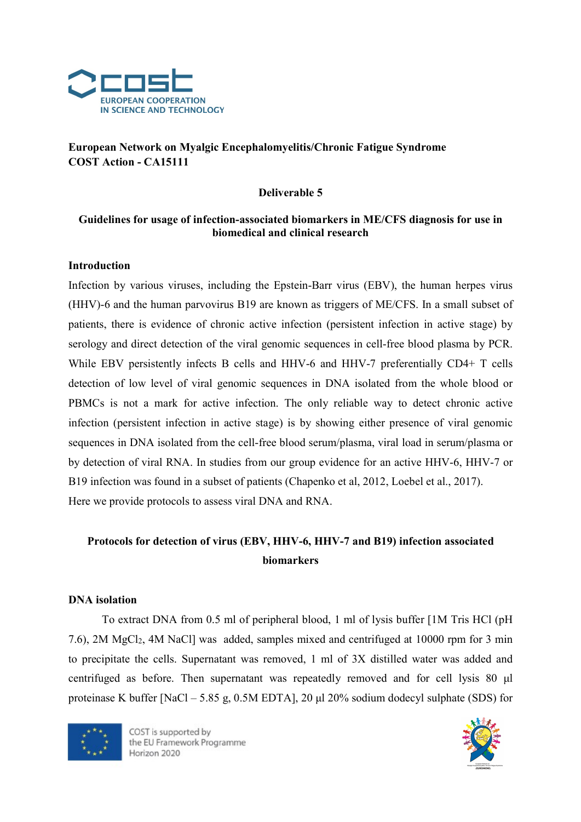

# European Network on Myalgic Encephalomyelitis/Chronic Fatigue Syndrome COST Action - CA15111

#### Deliverable 5

# Guidelines for usage of infection-associated biomarkers in ME/CFS diagnosis for use in biomedical and clinical research

# Introduction

Infection by various viruses, including the Epstein-Barr virus (EBV), the human herpes virus (HHV)-6 and the human parvovirus B19 are known as triggers of ME/CFS. In a small subset of patients, there is evidence of chronic active infection (persistent infection in active stage) by serology and direct detection of the viral genomic sequences in cell-free blood plasma by PCR. While EBV persistently infects B cells and HHV-6 and HHV-7 preferentially CD4+ T cells detection of low level of viral genomic sequences in DNA isolated from the whole blood or PBMCs is not a mark for active infection. The only reliable way to detect chronic active infection (persistent infection in active stage) is by showing either presence of viral genomic sequences in DNA isolated from the cell-free blood serum/plasma, viral load in serum/plasma or by detection of viral RNA. In studies from our group evidence for an active HHV-6, HHV-7 or B19 infection was found in a subset of patients (Chapenko et al, 2012, Loebel et al., 2017). Here we provide protocols to assess viral DNA and RNA.

# Protocols for detection of virus (EBV, HHV-6, HHV-7 and B19) infection associated biomarkers

#### DNA isolation

To extract DNA from 0.5 ml of peripheral blood, 1 ml of lysis buffer [1M Tris HCl (pH 7.6), 2M MgCl2, 4M NaCl] was added, samples mixed and centrifuged at 10000 rpm for 3 min to precipitate the cells. Supernatant was removed, 1 ml of 3X distilled water was added and centrifuged as before. Then supernatant was repeatedly removed and for cell lysis 80 μl proteinase K buffer [NaCl – 5.85 g, 0.5M EDTA], 20 μl 20% sodium dodecyl sulphate (SDS) for



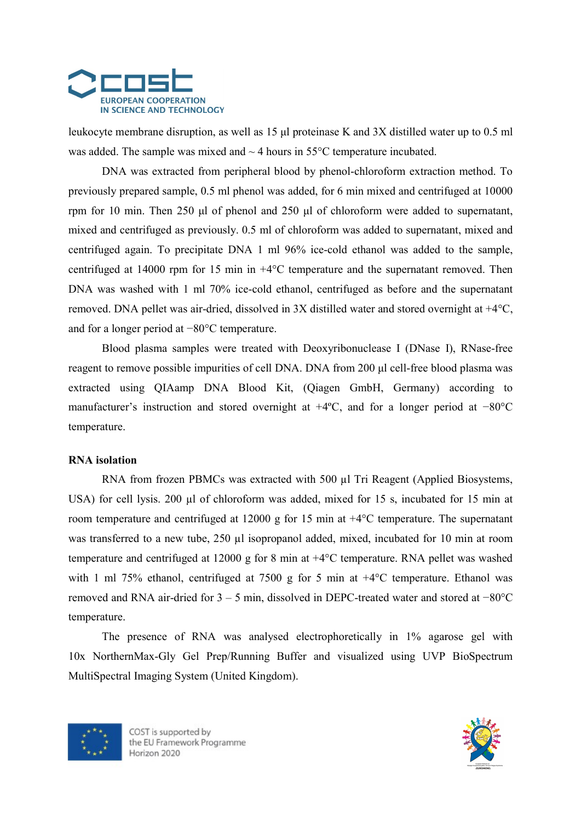

leukocyte membrane disruption, as well as 15 μl proteinase K and 3X distilled water up to 0.5 ml was added. The sample was mixed and  $\sim$  4 hours in 55 $\degree$ C temperature incubated.

DNA was extracted from peripheral blood by phenol-chloroform extraction method. To previously prepared sample, 0.5 ml phenol was added, for 6 min mixed and centrifuged at 10000 rpm for 10 min. Then 250 μl of phenol and 250 μl of chloroform were added to supernatant, mixed and centrifuged as previously. 0.5 ml of chloroform was added to supernatant, mixed and centrifuged again. To precipitate DNA 1 ml 96% ice-cold ethanol was added to the sample, centrifuged at 14000 rpm for 15 min in +4°C temperature and the supernatant removed. Then DNA was washed with 1 ml 70% ice-cold ethanol, centrifuged as before and the supernatant removed. DNA pellet was air-dried, dissolved in 3X distilled water and stored overnight at +4°C, and for a longer period at −80°C temperature.

Blood plasma samples were treated with Deoxyribonuclease I (DNase I), RNase-free reagent to remove possible impurities of cell DNA. DNA from 200 μl cell-free blood plasma was extracted using QIAamp DNA Blood Kit, (Qiagen GmbH, Germany) according to manufacturer's instruction and stored overnight at +4ºC, and for a longer period at −80°C temperature.

#### RNA isolation

RNA from frozen PBMCs was extracted with 500 µl Tri Reagent (Applied Biosystems, USA) for cell lysis. 200 µl of chloroform was added, mixed for 15 s, incubated for 15 min at room temperature and centrifuged at 12000 g for 15 min at +4°C temperature. The supernatant was transferred to a new tube, 250 µl isopropanol added, mixed, incubated for 10 min at room temperature and centrifuged at 12000 g for 8 min at +4°C temperature. RNA pellet was washed with 1 ml 75% ethanol, centrifuged at 7500 g for 5 min at  $+4^{\circ}$ C temperature. Ethanol was removed and RNA air-dried for 3 – 5 min, dissolved in DEPC-treated water and stored at −80°C temperature.

The presence of RNA was analysed electrophoretically in 1% agarose gel with 10x NorthernMax-Gly Gel Prep/Running Buffer and visualized using UVP BioSpectrum MultiSpectral Imaging System (United Kingdom).



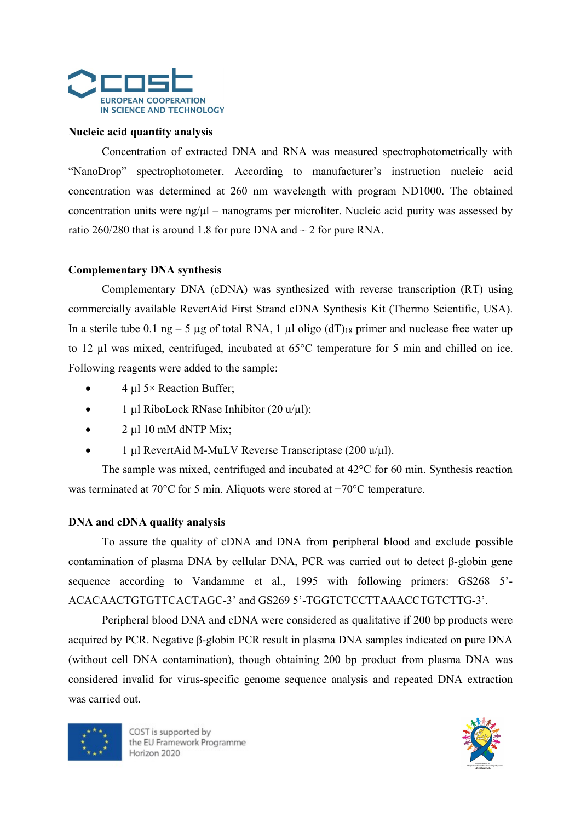

#### Nucleic acid quantity analysis

Concentration of extracted DNA and RNA was measured spectrophotometrically with "NanoDrop" spectrophotometer. According to manufacturer's instruction nucleic acid concentration was determined at 260 nm wavelength with program ND1000. The obtained concentration units were  $n\frac{g}{\mu} - n$  nanograms per microliter. Nucleic acid purity was assessed by ratio 260/280 that is around 1.8 for pure DNA and  $\sim$  2 for pure RNA.

#### Complementary DNA synthesis

Complementary DNA (cDNA) was synthesized with reverse transcription (RT) using commercially available RevertAid First Strand cDNA Synthesis Kit (Thermo Scientific, USA). In a sterile tube 0.1 ng – 5 µg of total RNA, 1 µl oligo  $(d)$ <sup>18</sup> primer and nuclease free water up to 12 µl was mixed, centrifuged, incubated at 65°C temperature for 5 min and chilled on ice. Following reagents were added to the sample:

- 4 µl 5× Reaction Buffer;
- 1 µl RiboLock RNase Inhibitor (20 u/µl);
- $2 \mu$ l 10 mM dNTP Mix;
- 1 µl RevertAid M-MuLV Reverse Transcriptase (200 u/µl).

The sample was mixed, centrifuged and incubated at 42°C for 60 min. Synthesis reaction was terminated at 70°C for 5 min. Aliquots were stored at −70°C temperature.

#### DNA and cDNA quality analysis

To assure the quality of cDNA and DNA from peripheral blood and exclude possible contamination of plasma DNA by cellular DNA, PCR was carried out to detect β-globin gene sequence according to Vandamme et al., 1995 with following primers: GS268 5'- ACACAACTGTGTTCACTAGC-3' and GS269 5'-TGGTCTCCTTAAACCTGTCTTG-3'.

Peripheral blood DNA and cDNA were considered as qualitative if 200 bp products were acquired by PCR. Negative β-globin PCR result in plasma DNA samples indicated on pure DNA (without cell DNA contamination), though obtaining 200 bp product from plasma DNA was considered invalid for virus-specific genome sequence analysis and repeated DNA extraction was carried out.



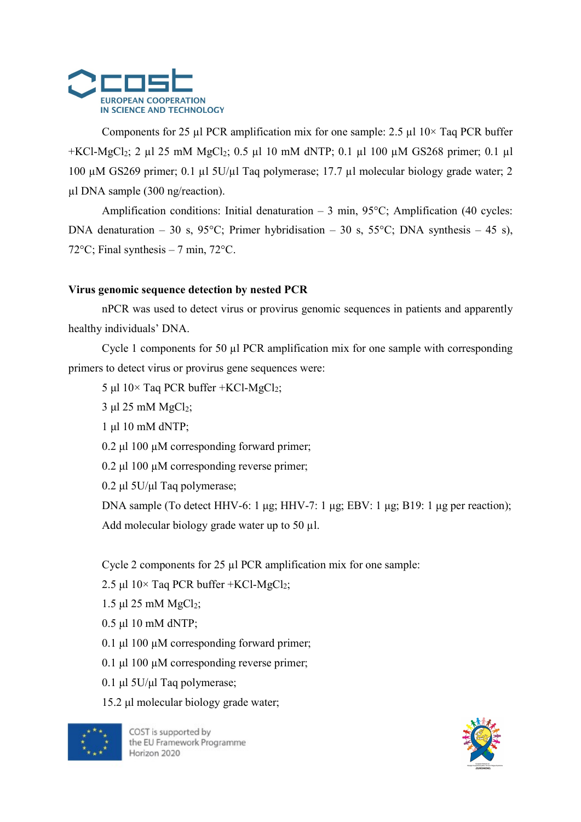

Components for 25  $\mu$ l PCR amplification mix for one sample: 2.5  $\mu$ l 10× Taq PCR buffer  $+KC1-MgCl<sub>2</sub>; 2 µl 25 mM MgCl<sub>2</sub>; 0.5 µl 10 mM dNTP; 0.1 µl 100 µM GS268 primer; 0.1 µl 100 µM GS268 primer; 0.1 µl 100 µM GS268 primer; 0.1 µl 100 µM GS268 primer; 0.1 µl 100 µM GS268 primer; 0.1 µl 100 µM GS268 primer; 0.1 µl 100 µM GS268 primer; 0.1 µl 100 µM GS268 primer; 0.1 µl 100 µM GS268 primer; 0.1 µl 100 µM GS2$ 100 µM GS269 primer; 0.1 µl 5U/µl Taq polymerase; 17.7 µl molecular biology grade water; 2 µl DNA sample (300 ng/reaction).

Amplification conditions: Initial denaturation  $-3$  min, 95 $^{\circ}$ C; Amplification (40 cycles: DNA denaturation – 30 s, 95°C; Primer hybridisation – 30 s, 55°C; DNA synthesis – 45 s), 72 $\rm{°C}$ ; Final synthesis – 7 min, 72 $\rm{°C}$ .

# Virus genomic sequence detection by nested PCR

nPCR was used to detect virus or provirus genomic sequences in patients and apparently healthy individuals' DNA.

Cycle 1 components for 50 µl PCR amplification mix for one sample with corresponding primers to detect virus or provirus gene sequences were:

5 μl  $10 \times$  Taq PCR buffer +KCl-MgCl<sub>2</sub>;

 $3 \mu$ l 25 mM MgCl<sub>2</sub>;

1 μl 10 mM dNTP;

0.2 μl 100 µM corresponding forward primer;

0.2 μl 100 µM corresponding reverse primer;

0.2 μl 5U/μl Taq polymerase;

DNA sample (To detect HHV-6: 1 μg; HHV-7: 1 μg; EBV: 1 μg; B19: 1 μg per reaction); Add molecular biology grade water up to 50 µl.

Cycle 2 components for 25 µl PCR amplification mix for one sample:

2.5 μl  $10 \times$  Taq PCR buffer +KCl-MgCl<sub>2</sub>;

1.5 μl 25 mM  $MgCl<sub>2</sub>$ ;

0.5 μl 10 mM dNTP;

0.1 μl 100 µM corresponding forward primer;

0.1 μl 100 µM corresponding reverse primer;

0.1 μl 5U/μl Taq polymerase;

15.2 μl molecular biology grade water;



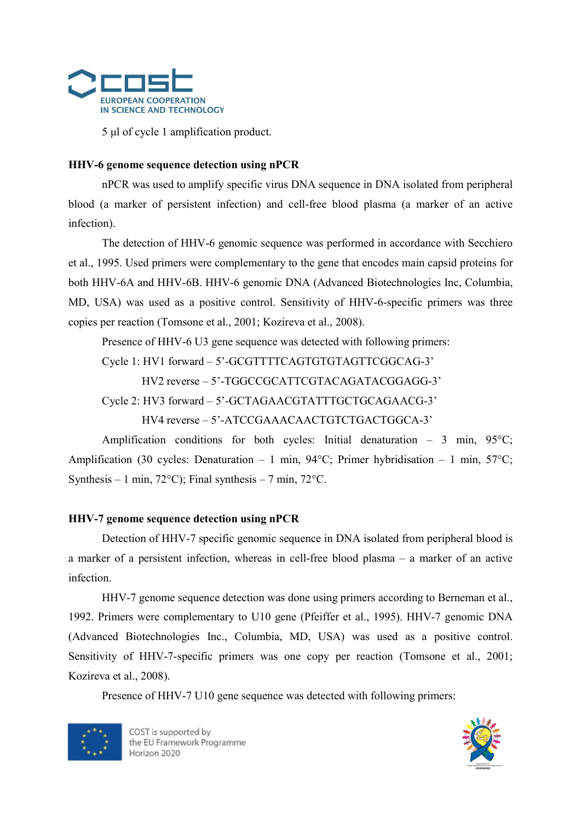

5 μl of cycle 1 amplification product.

#### HHV-6 genome sequence detection using nPCR

nPCR was used to amplify specific virus DNA sequence in DNA isolated from peripheral blood (a marker of persistent infection) and cell-free blood plasma (a marker of an active infection).

The detection of HHV-6 genomic sequence was performed in accordance with Secchiero et al., 1995. Used primers were complementary to the gene that encodes main capsid proteins for both HHV-6A and HHV-6B. HHV-6 genomic DNA (Advanced Biotechnologies Inc, Columbia, MD, USA) was used as a positive control. Sensitivity of HHV-6-specific primers was three copies per reaction (Tomsone et al., 2001; Kozireva et al., 2008).

Presence of HHV-6 U3 gene sequence was detected with following primers:

Cycle 1: HV1 forward – 5'-GCGTTTTCAGTGTGTAGTTCGGCAG-3'

HV2 reverse – 5'-TGGCCGCATTCGTACAGATACGGAGG-3'

Cycle 2: HV3 forward – 5'-GCTAGAACGTATTTGCTGCAGAACG-3'

HV4 reverse – 5'-ATCCGAAACAACTGTCTGACTGGCA-3'

Amplification conditions for both cycles: Initial denaturation – 3 min,  $95^{\circ}$ C; Amplification (30 cycles: Denaturation – 1 min, 94°C; Primer hybridisation – 1 min, 57°C; Synthesis – 1 min, 72 $^{\circ}$ C); Final synthesis – 7 min, 72 $^{\circ}$ C.

#### HHV-7 genome sequence detection using nPCR

Detection of HHV-7 specific genomic sequence in DNA isolated from peripheral blood is a marker of a persistent infection, whereas in cell-free blood plasma – a marker of an active infection.

HHV-7 genome sequence detection was done using primers according to Berneman et al., 1992. Primers were complementary to U10 gene (Pfeiffer et al., 1995). HHV-7 genomic DNA (Advanced Biotechnologies Inc., Columbia, MD, USA) was used as a positive control. Sensitivity of HHV-7-specific primers was one copy per reaction (Tomsone et al., 2001; Kozireva et al., 2008).

Presence of HHV-7 U10 gene sequence was detected with following primers:



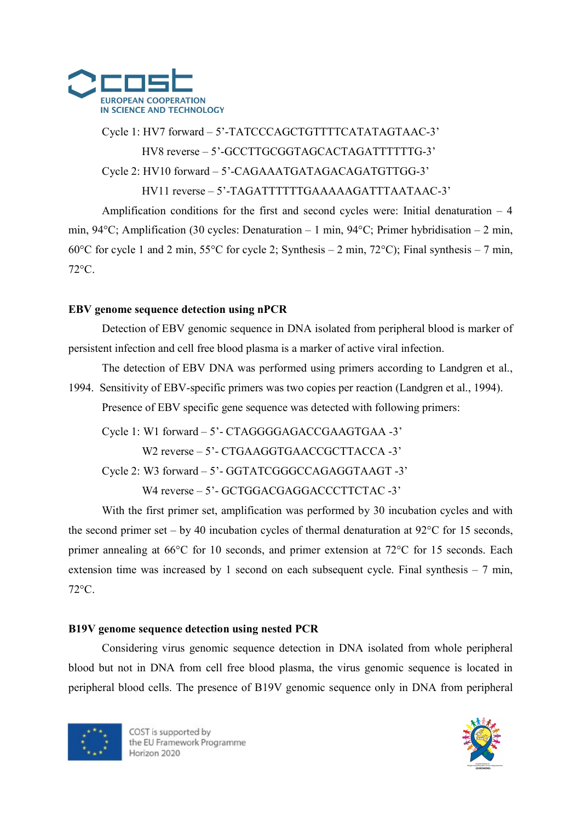

# Cycle 1: HV7 forward – 5'-TATCCCAGCTGTTTTCATATAGTAAC-3' HV8 reverse – 5'-GCCTTGCGGTAGCACTAGATTTTTTG-3' Cycle 2: HV10 forward – 5'-CAGAAATGATAGACAGATGTTGG-3'

HV11 reverse – 5'-TAGATTTTTTGAAAAAGATTTAATAAC-3'

Amplification conditions for the first and second cycles were: Initial denaturation  $-4$ min, 94°C; Amplification (30 cycles: Denaturation – 1 min, 94°C; Primer hybridisation – 2 min, 60°C for cycle 1 and 2 min, 55°C for cycle 2; Synthesis – 2 min, 72°C); Final synthesis – 7 min, 72°C.

# EBV genome sequence detection using nPCR

Detection of EBV genomic sequence in DNA isolated from peripheral blood is marker of persistent infection and cell free blood plasma is a marker of active viral infection.

The detection of EBV DNA was performed using primers according to Landgren et al., 1994. Sensitivity of EBV-specific primers was two copies per reaction (Landgren et al., 1994). Presence of EBV specific gene sequence was detected with following primers:

Cycle 1: W1 forward – 5'- CTAGGGGAGACCGAAGTGAA -3'

W2 reverse – 5' - CTGAAGGTGAACCGCTTACCA -3'

Cycle 2: W3 forward – 5'- GGTATCGGGCCAGAGGTAAGT -3'

W4 reverse - 5'- GCTGGACGAGGACCCTTCTAC -3'

With the first primer set, amplification was performed by 30 incubation cycles and with the second primer set – by 40 incubation cycles of thermal denaturation at  $92^{\circ}$ C for 15 seconds, primer annealing at 66°C for 10 seconds, and primer extension at 72°C for 15 seconds. Each extension time was increased by 1 second on each subsequent cycle. Final synthesis – 7 min, 72°C.

# B19V genome sequence detection using nested PCR

Considering virus genomic sequence detection in DNA isolated from whole peripheral blood but not in DNA from cell free blood plasma, the virus genomic sequence is located in peripheral blood cells. The presence of B19V genomic sequence only in DNA from peripheral



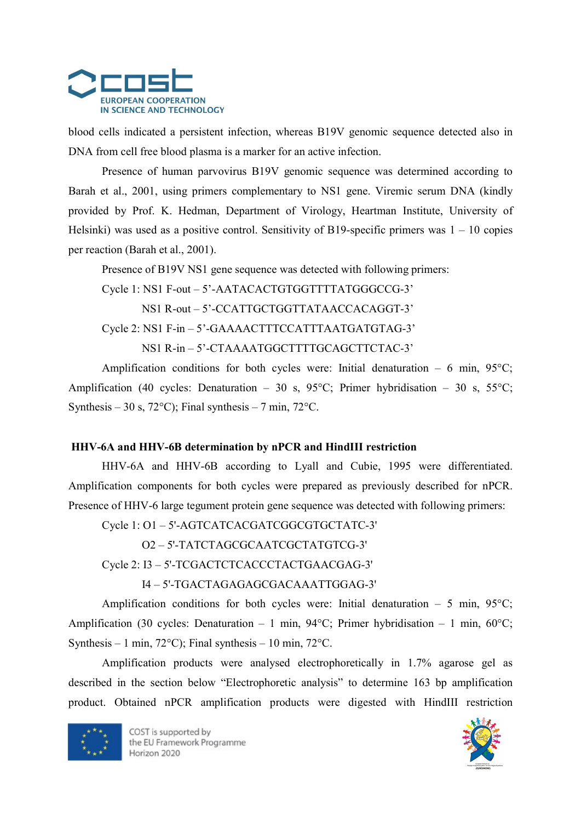

blood cells indicated a persistent infection, whereas B19V genomic sequence detected also in DNA from cell free blood plasma is a marker for an active infection.

Presence of human parvovirus B19V genomic sequence was determined according to Barah et al., 2001, using primers complementary to NS1 gene. Viremic serum DNA (kindly provided by Prof. K. Hedman, Department of Virology, Heartman Institute, University of Helsinki) was used as a positive control. Sensitivity of B19-specific primers was  $1 - 10$  copies per reaction (Barah et al., 2001).

Presence of B19V NS1 gene sequence was detected with following primers:

Cycle 1: NS1 F-out – 5'-AATACACTGTGGTTTTATGGGCCG-3' NS1 R-out – 5'-CCATTGCTGGTTATAACCACAGGT-3' Cycle 2: NS1 F-in – 5'-GAAAACTTTCCATTTAATGATGTAG-3' NS1 R-in – 5'-CTAAAATGGCTTTTGCAGCTTCTAC-3'

Amplification conditions for both cycles were: Initial denaturation – 6 min,  $95^{\circ}$ C; Amplification (40 cycles: Denaturation – 30 s, 95°C; Primer hybridisation – 30 s, 55°C; Synthesis – 30 s, 72 $^{\circ}$ C); Final synthesis – 7 min, 72 $^{\circ}$ C.

# HHV-6A and HHV-6B determination by nPCR and HindIII restriction

HHV-6A and HHV-6B according to Lyall and Cubie, 1995 were differentiated. Amplification components for both cycles were prepared as previously described for nPCR. Presence of HHV-6 large tegument protein gene sequence was detected with following primers:

Cycle 1: O1 – 5'-AGTCATCACGATCGGCGTGCTATC-3'

O2 – 5'-TATCTAGCGCAATCGCTATGTCG-3'

Cycle 2: I3 – 5'-TCGACTCTCACCCTACTGAACGAG-3'

I4 – 5'-TGACTAGAGAGCGACAAATTGGAG-3'

Amplification conditions for both cycles were: Initial denaturation – 5 min,  $95^{\circ}$ C; Amplification (30 cycles: Denaturation – 1 min, 94°C; Primer hybridisation – 1 min, 60°C; Synthesis – 1 min, 72 $^{\circ}$ C); Final synthesis – 10 min, 72 $^{\circ}$ C.

Amplification products were analysed electrophoretically in 1.7% agarose gel as described in the section below "Electrophoretic analysis" to determine 163 bp amplification product. Obtained nPCR amplification products were digested with HindIII restriction



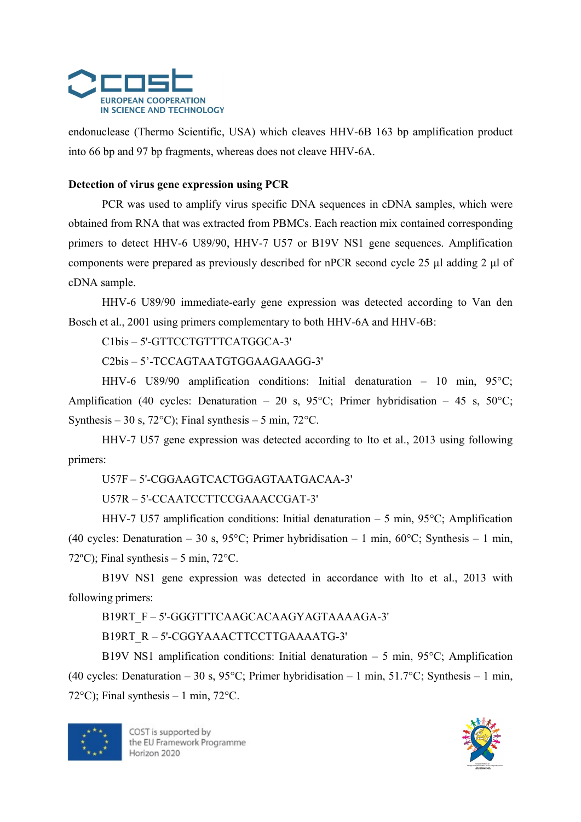

endonuclease (Thermo Scientific, USA) which cleaves HHV-6B 163 bp amplification product into 66 bp and 97 bp fragments, whereas does not cleave HHV-6A.

#### Detection of virus gene expression using PCR

PCR was used to amplify virus specific DNA sequences in cDNA samples, which were obtained from RNA that was extracted from PBMCs. Each reaction mix contained corresponding primers to detect HHV-6 U89/90, HHV-7 U57 or B19V NS1 gene sequences. Amplification components were prepared as previously described for nPCR second cycle 25 µl adding 2 μl of cDNA sample.

HHV-6 U89/90 immediate-early gene expression was detected according to Van den Bosch et al., 2001 using primers complementary to both HHV-6A and HHV-6B:

C1bis – 5'-GTTCCTGTTTCATGGCA-3'

C2bis – 5'-TCCAGTAATGTGGAAGAAGG-3'

HHV-6 U89/90 amplification conditions: Initial denaturation – 10 min, 95°C; Amplification (40 cycles: Denaturation – 20 s, 95°C; Primer hybridisation – 45 s, 50°C; Synthesis – 30 s, 72 $^{\circ}$ C); Final synthesis – 5 min, 72 $^{\circ}$ C.

HHV-7 U57 gene expression was detected according to Ito et al., 2013 using following primers:

U57F – 5'-CGGAAGTCACTGGAGTAATGACAA-3'

U57R – 5'-CCAATCCTTCCGAAACCGAT-3'

HHV-7 U57 amplification conditions: Initial denaturation – 5 min, 95°C; Amplification (40 cycles: Denaturation – 30 s, 95°C; Primer hybridisation – 1 min, 60°C; Synthesis – 1 min, 72 $^{\circ}$ C); Final synthesis – 5 min, 72 $^{\circ}$ C.

B19V NS1 gene expression was detected in accordance with Ito et al., 2013 with following primers:

B19RT\_F – 5'-GGGTTTCAAGCACAAGYAGTAAAAGA-3'

B19RT\_R – 5'-CGGYAAACTTCCTTGAAAATG-3'

B19V NS1 amplification conditions: Initial denaturation – 5 min,  $95^{\circ}$ C; Amplification (40 cycles: Denaturation – 30 s, 95°C; Primer hybridisation – 1 min, 51.7°C; Synthesis – 1 min, 72 $\degree$ C); Final synthesis – 1 min, 72 $\degree$ C.



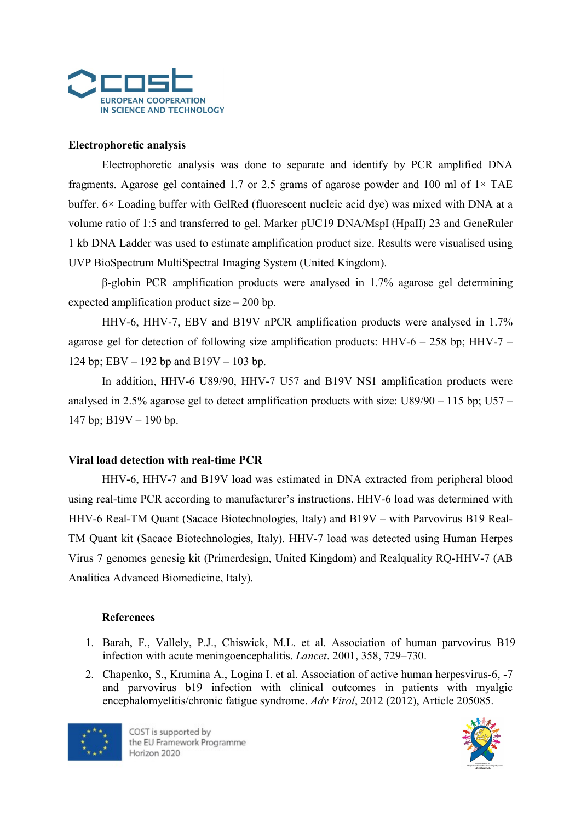

# Electrophoretic analysis

Electrophoretic analysis was done to separate and identify by PCR amplified DNA fragments. Agarose gel contained 1.7 or 2.5 grams of agarose powder and 100 ml of  $1 \times$  TAE buffer. 6× Loading buffer with GelRed (fluorescent nucleic acid dye) was mixed with DNA at a volume ratio of 1:5 and transferred to gel. Marker pUC19 DNA/MspI (HpaII) 23 and GeneRuler 1 kb DNA Ladder was used to estimate amplification product size. Results were visualised using UVP BioSpectrum MultiSpectral Imaging System (United Kingdom).

β-globin PCR amplification products were analysed in 1.7% agarose gel determining expected amplification product size – 200 bp.

HHV-6, HHV-7, EBV and B19V nPCR amplification products were analysed in 1.7% agarose gel for detection of following size amplification products: HHV-6 – 258 bp; HHV-7 – 124 bp; EBV – 192 bp and B19V – 103 bp.

In addition, HHV-6 U89/90, HHV-7 U57 and B19V NS1 amplification products were analysed in 2.5% agarose gel to detect amplification products with size: U89/90 – 115 bp; U57 – 147 bp; B19V – 190 bp.

#### Viral load detection with real-time PCR

HHV-6, HHV-7 and B19V load was estimated in DNA extracted from peripheral blood using real-time PCR according to manufacturer's instructions. HHV-6 load was determined with HHV-6 Real-TM Quant (Sacace Biotechnologies, Italy) and B19V – with Parvovirus B19 Real-TM Quant kit (Sacace Biotechnologies, Italy). HHV-7 load was detected using Human Herpes Virus 7 genomes genesig kit (Primerdesign, United Kingdom) and Realquality RQ-HHV-7 (AB Analitica Advanced Biomedicine, Italy).

#### References

- 1. Barah, F., Vallely, P.J., Chiswick, M.L. et al. Association of human parvovirus B19 infection with acute meningoencephalitis. Lancet. 2001, 358, 729–730.
- 2. Chapenko, S., Krumina A., Logina I. et al. Association of active human herpesvirus-6, -7 and parvovirus b19 infection with clinical outcomes in patients with myalgic encephalomyelitis/chronic fatigue syndrome. Adv Virol, 2012 (2012), Article 205085.



COST is supported by the EU Framework Programme Horizon 2020